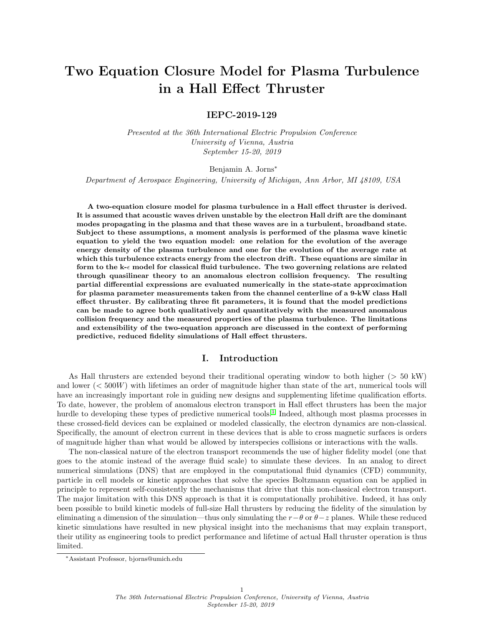# Two Equation Closure Model for Plasma Turbulence in a Hall Effect Thruster

## IEPC-2019-129

Presented at the 36th International Electric Propulsion Conference University of Vienna, Austria September 15-20, 2019

#### Benjamin A. Jorns<sup>∗</sup>

Department of Aerospace Engineering, University of Michigan, Ann Arbor, MI 48109, USA

A two-equation closure model for plasma turbulence in a Hall effect thruster is derived. It is assumed that acoustic waves driven unstable by the electron Hall drift are the dominant modes propagating in the plasma and that these waves are in a turbulent, broadband state. Subject to these assumptions, a moment analysis is performed of the plasma wave kinetic equation to yield the two equation model: one relation for the evolution of the average energy density of the plasma turbulence and one for the evolution of the average rate at which this turbulence extracts energy from the electron drift. These equations are similar in form to the  $k-\epsilon$  model for classical fluid turbulence. The two governing relations are related through quasilinear theory to an anomalous electron collision frequency. The resulting partial differential expressions are evaluated numerically in the state-state approximation for plasma parameter measurements taken from the channel centerline of a 9-kW class Hall effect thruster. By calibrating three fit parameters, it is found that the model predictions can be made to agree both qualitatively and quantitatively with the measured anomalous collision frequency and the measured properties of the plasma turbulence. The limitations and extensibility of the two-equation approach are discussed in the context of performing predictive, reduced fidelity simulations of Hall effect thrusters.

#### I. Introduction

As Hall thrusters are extended beyond their traditional operating window to both higher (> 50 kW) and lower  $\langle \, 500W \, \rangle$  with lifetimes an order of magnitude higher than state of the art, numerical tools will have an increasingly important role in guiding new designs and supplementing lifetime qualification efforts. To date, however, the problem of anomalous electron transport in Hall effect thrusters has been the major hurdle to developing these types of predictive numerical tools.<sup>[1](#page-9-0)</sup> Indeed, although most plasma processes in these crossed-field devices can be explained or modeled classically, the electron dynamics are non-classical. Specifically, the amount of electron current in these devices that is able to cross magnetic surfaces is orders of magnitude higher than what would be allowed by interspecies collisions or interactions with the walls.

The non-classical nature of the electron transport recommends the use of higher fidelity model (one that goes to the atomic instead of the average fluid scale) to simulate these devices. In an analog to direct numerical simulations (DNS) that are employed in the computational fluid dynamics (CFD) community, particle in cell models or kinetic approaches that solve the species Boltzmann equation can be applied in principle to represent self-consistently the mechanisms that drive that this non-classical electron transport. The major limitation with this DNS approach is that it is computationally prohibitive. Indeed, it has only been possible to build kinetic models of full-size Hall thrusters by reducing the fidelity of the simulation by eliminating a dimension of the simulation—thus only simulating the  $r-\theta$  or  $\theta-z$  planes. While these reduced kinetic simulations have resulted in new physical insight into the mechanisms that may explain transport, their utility as engineering tools to predict performance and lifetime of actual Hall thruster operation is thus limited.

<sup>∗</sup>Assistant Professor, bjorns@umich.edu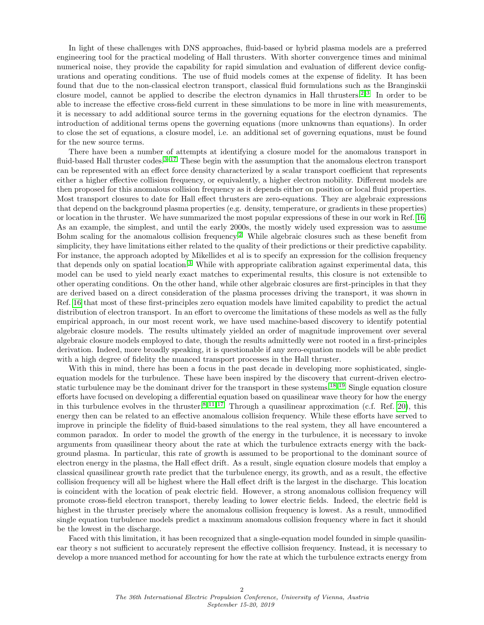In light of these challenges with DNS approaches, fluid-based or hybrid plasma models are a preferred engineering tool for the practical modeling of Hall thrusters. With shorter convergence times and minimal numerical noise, they provide the capability for rapid simulation and evaluation of different device configurations and operating conditions. The use of fluid models comes at the expense of fidelity. It has been found that due to the non-classical electron transport, classical fluid formulations such as the Branginskii closure model, cannot be applied to describe the electron dynamics in Hall thrusters.<sup>[2,](#page-10-0) [3](#page-10-1)</sup> In order to be able to increase the effective cross-field current in these simulations to be more in line with measurements, it is necessary to add additional source terms in the governing equations for the electron dynamics. The introduction of additional terms opens the governing equations (more unknowns than equations). In order to close the set of equations, a closure model, i.e. an additional set of governing equations, must be found for the new source terms.

There have been a number of attempts at identifying a closure model for the anomalous transport in fluid-based Hall thruster codes.<sup>[3](#page-10-1)[–17](#page-10-2)</sup> These begin with the assumption that the anomalous electron transport can be represented with an effect force density characterized by a scalar transport coefficient that represents either a higher effective collision frequency, or equivalently, a higher electron mobility. Different models are then proposed for this anomalous collision frequency as it depends either on position or local fluid properties. Most transport closures to date for Hall effect thrusters are zero-equations. They are algebraic expressions that depend on the background plasma properties (e.g. density, temperature, or gradients in these properties) or location in the thruster. We have summarized the most popular expressions of these in our work in Ref. [16.](#page-10-3) As an example, the simplest, and until the early 2000s, the mostly widely used expression was to assume Bohm scaling for the anomalous collision frequency.[2](#page-10-0) While algebraic closures such as these benefit from simplicity, they have limitations either related to the quality of their predictions or their predictive capability. For instance, the approach adopted by Mikellides et al is to specify an expression for the collision frequency that depends only on spatial location.[3](#page-10-1) While with appropriate calibration against experimental data, this model can be used to yield nearly exact matches to experimental results, this closure is not extensible to other operating conditions. On the other hand, while other algebraic closures are first-principles in that they are derived based on a direct consideration of the plasma processes driving the transport, it was shown in Ref. [16](#page-10-3) that most of these first-principles zero equation models have limited capability to predict the actual distribution of electron transport. In an effort to overcome the limitations of these models as well as the fully empirical approach, in our most recent work, we have used machine-based discovery to identify potential algebraic closure models. The results ultimately yielded an order of magnitude improvement over several algebraic closure models employed to date, though the results admittedly were not rooted in a first-principles derivation. Indeed, more broadly speaking, it is questionable if any zero-equation models will be able predict with a high degree of fidelity the nuanced transport processes in the Hall thruster.

With this in mind, there has been a focus in the past decade in developing more sophisticated, singleequation models for the turbulence. These have been inspired by the discovery that current-driven electrostatic turbulence may be the dominant driver for the transport in these systems.[18,](#page-10-4) [19](#page-10-5) Single equation closure efforts have focused on developing a differential equation based on quasilinear wave theory for how the energy in this turbulence evolves in the thruster.<sup>[8,](#page-10-6) [11,](#page-10-7) [17](#page-10-2)</sup> Through a quasilinear approximation (c.f. Ref. [20\)](#page-10-8), this energy then can be related to an effective anomalous collision frequency. While these efforts have served to improve in principle the fidelity of fluid-based simulations to the real system, they all have encountered a common paradox. In order to model the growth of the energy in the turbulence, it is necessary to invoke arguments from quasilinear theory about the rate at which the turbulence extracts energy with the background plasma. In particular, this rate of growth is assumed to be proportional to the dominant source of electron energy in the plasma, the Hall effect drift. As a result, single equation closure models that employ a classical quasilinear growth rate predict that the turbulence energy, its growth, and as a result, the effective collision frequency will all be highest where the Hall effect drift is the largest in the discharge. This location is coincident with the location of peak electric field. However, a strong anomalous collision frequency will promote cross-field electron transport, thereby leading to lower electric fields. Indeed, the electric field is highest in the thruster precisely where the anomalous collision frequency is lowest. As a result, unmodified single equation turbulence models predict a maximum anomalous collision frequency where in fact it should be the lowest in the discharge.

Faced with this limitation, it has been recognized that a single-equation model founded in simple quasilinear theory s not sufficient to accurately represent the effective collision frequency. Instead, it is necessary to develop a more nuanced method for accounting for how the rate at which the turbulence extracts energy from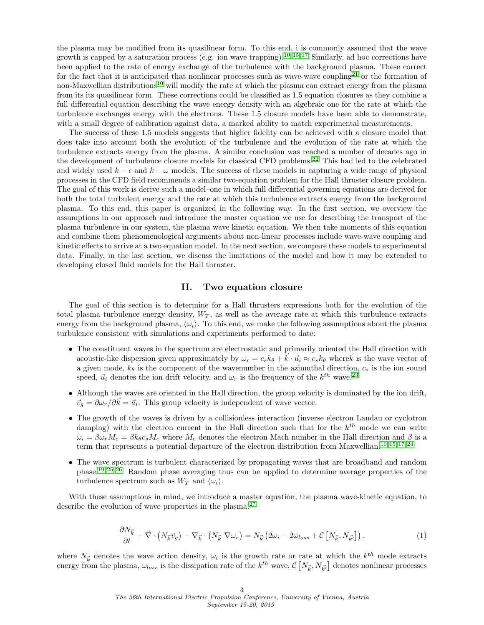the plasma may be modified from its quasilinear form. To this end, i is commonly assumed that the wave growth is capped by a saturation process (e.g. ion wave trapping).<sup>[10,](#page-10-9) [15,](#page-10-10) [17](#page-10-2)</sup> Similarly, ad hoc corrections have been applied to the rate of energy exchange of the turbulence with the background plasma. These correct for the fact that it is anticipated that nonlinear processes such as wave-wave coupling<sup>[21](#page-10-11)</sup> or the formation of non-Maxwellian distributions<sup>[10](#page-10-9)</sup> will modify the rate at which the plasma can extract energy from the plasma from its its quasilinear form. These corrections could be classified as 1.5 equation closures as they combine a full differential equation describing the wave energy density with an algebraic one for the rate at which the turbulence exchanges energy with the electrons. These 1.5 closure models have been able to demonstrate, with a small degree of calibration against data, a marked ability to match experimental measurements.

The success of these 1.5 models suggests that higher fidelity can be achieved with a closure model that does take into account both the evolution of the turbulence and the evolution of the rate at which the turbulence extracts energy from the plasma. A similar conclusion was reached a number of decades ago in the development of turbulence closure models for classical CFD problems.[22](#page-10-12) This had led to the celebrated and widely used  $k - \epsilon$  and  $k - \omega$  models. The success of these models in capturing a wide range of physical processes in the CFD field recommends a similar two-equation problem for the Hall thruster closure problem. The goal of this work is derive such a model–one in which full differential governing equations are derived for both the total turbulent energy and the rate at which this turbulence extracts energy from the background plasma. To this end, this paper is organized in the following way. In the first section, we overview the assumptions in our approach and introduce the master equation we use for describing the transport of the plasma turbulence in our system, the plasma wave kinetic equation. We then take moments of this equation and combine them phenomenological arguments about non-linear processes include wave-wave coupling and kinetic effects to arrive at a two equation model. In the next section, we compare these models to experimental data. Finally, in the last section, we discuss the limitations of the model and how it may be extended to developing closed fluid models for the Hall thruster.

### II. Two equation closure

The goal of this section is to determine for a Hall thrusters expressions both for the evolution of the total plasma turbulence energy density,  $W_T$ , as well as the average rate at which this turbulence extracts energy from the background plasma,  $\langle \omega_i \rangle$ . To this end, we make the following assumptions about the plasma turbulence consistent with simulations and experiments performed to date:

- The constituent waves in the spectrum are electrostatic and primarily oriented the Hall direction with acoustic-like dispersion given approximately by  $\omega_r = c_s k_\theta + \vec{k} \cdot \vec{u}_i \approx c_s k_\theta$  where  $\vec{k}$  is the wave vector of a given mode,  $k_{\theta}$  is the component of the wavenumber in the azimuthal direction,  $c_s$  is the ion sound speed,  $\vec{u}_i$  denotes the ion drift velocity, and  $\omega_r$  is the frequency of the  $k^{th}$  wave.<sup>[23](#page-10-13)</sup>
- Although the waves are oriented in the Hall direction, the group velocity is dominated by the ion drift,  $\vec{v}_g = \partial \omega_r / \partial \vec{k} = \vec{u}_i$ . This group velocity is independent of wave vector.
- The growth of the waves is driven by a collisionless interaction (inverse electron Landau or cyclotron damping) with the electron current in the Hall direction such that for the  $k^{th}$  mode we can write  $\omega_i = \beta \omega_r M_e = \beta k_\theta c_s M_e$  where  $M_e$  denotes the electron Mach number in the Hall direction and  $\beta$  is a term that represents a potential departure of the electron distribution from Maxwellian.<sup>[10,](#page-10-9) [15,](#page-10-10) [17,](#page-10-2) [24](#page-10-14)</sup>
- The wave spectrum is turbulent characterized by propagating waves that are broadband and random phase.[19,](#page-10-5) [25,](#page-10-15) [26](#page-10-16) Random phase averaging thus can be applied to determine average properties of the turbulence spectrum such as  $W_T$  and  $\langle \omega_i \rangle$ .

With these assumptions in mind, we introduce a master equation, the plasma wave-kinetic equation, to describe the evolution of wave properties in the plasma:<sup>[27](#page-10-17)</sup>

<span id="page-2-0"></span>
$$
\frac{\partial N_{\vec{k}}}{\partial t} + \vec{\nabla} \cdot \left( N_{\vec{k}} \vec{v}_g \right) - \nabla_{\vec{k}} \cdot \left( N_{\vec{k}} \nabla \omega_r \right) = N_{\vec{k}} \left( 2\omega_i - 2\omega_{loss} + \mathcal{C} \left[ N_{\vec{k}}, N_{\vec{k'}} \right] \right),\tag{1}
$$

where  $N_{\vec{k}}$  denotes the wave action density,  $\omega_i$  is the growth rate or rate at which the  $k^{th}$  mode extracts energy from the plasma,  $\omega_{loss}$  is the dissipation rate of the  $k^{th}$  wave,  $\mathcal{C}\left[N_{\vec{k}}, N_{\vec{k'}}\right]$  denotes nonlinear processes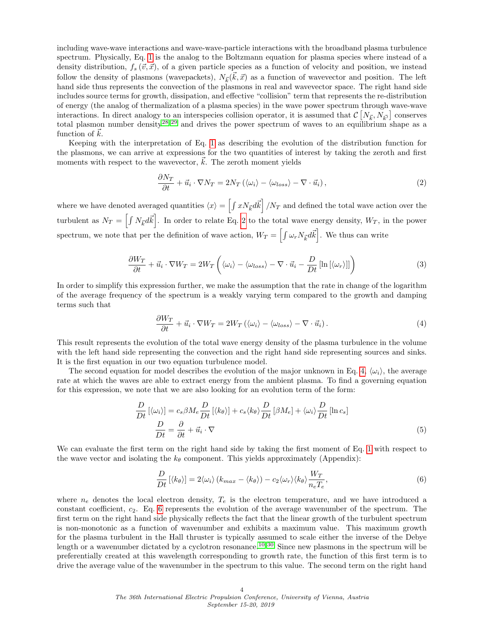including wave-wave interactions and wave-wave-particle interactions with the broadband plasma turbulence spectrum. Physically, Eq. [1](#page-2-0) is the analog to the Boltzmann equation for plasma species where instead of a density distribution,  $f_s(\vec{v}, \vec{x})$ , of a given particle species as a function of velocity and position, we instead follow the density of plasmons (wavepackets),  $N_{\vec{k}}(\vec{k}, \vec{x})$  as a function of wavevector and position. The left hand side thus represents the convection of the plasmons in real and wavevector space. The right hand side includes source terms for growth, dissipation, and effective "collision" term that represents the re-distribution of energy (the analog of thermalization of a plasma species) in the wave power spectrum through wave-wave interactions. In direct analogy to an interspecies collision operator, it is assumed that  $\mathcal{C}\left[N_{\vec{k}}, N_{\vec{k'}}\right]$  conserves total plasmon number density<sup>[28,](#page-10-18) [29](#page-10-19)</sup> and drives the power spectrum of waves to an equilibrium shape as a function of  $\vec{k}$ .

Keeping with the interpretation of Eq. [1](#page-2-0) as describing the evolution of the distribution function for the plasmons, we can arrive at expressions for the two quantities of interest by taking the zeroth and first moments with respect to the wavevector,  $\vec{k}$ . The zeroth moment yields

<span id="page-3-0"></span>
$$
\frac{\partial N_T}{\partial t} + \vec{u}_i \cdot \nabla N_T = 2N_T \left( \langle \omega_i \rangle - \langle \omega_{loss} \rangle - \nabla \cdot \vec{u}_i \right),\tag{2}
$$

where we have denoted averaged quantities  $\langle x \rangle = \left[ \int x N_{\vec{k}} d\vec{k} \right] / N_T$  and defined the total wave action over the turbulent as  $N_T = \left[\int N_{\vec{k}} d\vec{k}\right]$ . In order to relate Eq. [2](#page-3-0) to the total wave energy density,  $W_T$ , in the power spectrum, we note that per the definition of wave action,  $W_T = \left[\int \omega_r N_{\vec{k}} d\vec{k}\right]$ . We thus can write

$$
\frac{\partial W_T}{\partial t} + \vec{u}_i \cdot \nabla W_T = 2W_T \left( \langle \omega_i \rangle - \langle \omega_{loss} \rangle - \nabla \cdot \vec{u}_i - \frac{D}{Dt} \left[ \ln \left[ \langle \omega_r \rangle \right] \right] \right) \tag{3}
$$

In order to simplify this expression further, we make the assumption that the rate in change of the logarithm of the average frequency of the spectrum is a weakly varying term compared to the growth and damping terms such that

<span id="page-3-1"></span>
$$
\frac{\partial W_T}{\partial t} + \vec{u}_i \cdot \nabla W_T = 2W_T \left( \langle \omega_i \rangle - \langle \omega_{loss} \rangle - \nabla \cdot \vec{u}_i \right). \tag{4}
$$

This result represents the evolution of the total wave energy density of the plasma turbulence in the volume with the left hand side representing the convection and the right hand side representing sources and sinks. It is the first equation in our two equation turbulence model.

The second equation for model describes the evolution of the major unknown in Eq. [4,](#page-3-1)  $\langle \omega_i \rangle$ , the average rate at which the waves are able to extract energy from the ambient plasma. To find a governing equation for this expression, we note that we are also looking for an evolution term of the form:

$$
\frac{D}{Dt} \left[ \langle \omega_i \rangle \right] = c_s \beta M_e \frac{D}{Dt} \left[ \langle k_\theta \rangle \right] + c_s \langle k_\theta \rangle \frac{D}{Dt} \left[ \beta M_e \right] + \langle \omega_i \rangle \frac{D}{Dt} \left[ \ln c_s \right]
$$
\n
$$
\frac{D}{Dt} = \frac{\partial}{\partial t} + \vec{u}_i \cdot \nabla
$$
\n(5)

We can evaluate the first term on the right hand side by taking the first moment of Eq. [1](#page-2-0) with respect to the wave vector and isolating the  $k_{\theta}$  component. This yields approximately (Appendix):

<span id="page-3-3"></span><span id="page-3-2"></span>
$$
\frac{D}{Dt} \left[ \langle k_{\theta} \rangle \right] = 2 \langle \omega_i \rangle \left( k_{max} - \langle k_{\theta} \rangle \right) - c_2 \langle \omega_r \rangle \langle k_{\theta} \rangle \frac{W_T}{n_e T_e},\tag{6}
$$

where  $n_e$  denotes the local electron density,  $T_e$  is the electron temperature, and we have introduced a constant coefficient,  $c_2$ . Eq. [6](#page-3-2) represents the evolution of the average wavenumber of the spectrum. The first term on the right hand side physically reflects the fact that the linear growth of the turbulent spectrum is non-monotonic as a function of wavenumber and exhibits a maximum value. This maximum growth for the plasma turbulent in the Hall thruster is typically assumed to scale either the inverse of the Debye length or a wavenumber dictated by a cyclotron resonance.<sup>[10,](#page-10-9) [30](#page-10-20)</sup> Since new plasmons in the spectrum will be preferentially created at this wavelength corresponding to growth rate, the function of this first term is to drive the average value of the wavenumber in the spectrum to this value. The second term on the right hand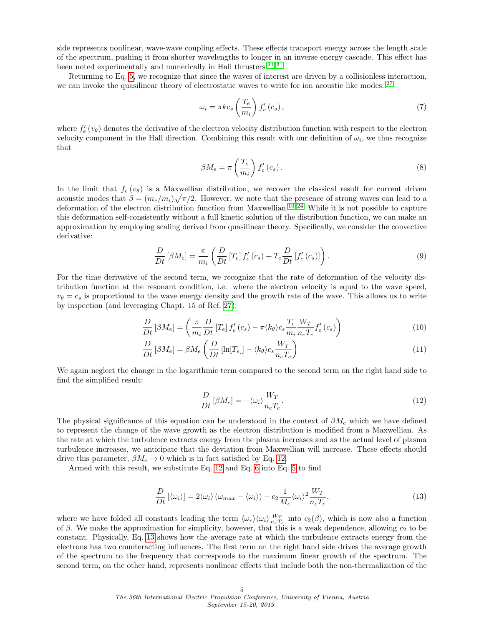side represents nonlinear, wave-wave coupling effects. These effects transport energy across the length scale of the spectrum, pushing it from shorter wavelengths to longer in an inverse energy cascade. This effect has been noted experimentally and numerically in Hall thrusters.  $\mathbf{^{21,31}}$  $\mathbf{^{21,31}}$  $\mathbf{^{21,31}}$ 

Returning to Eq. [5,](#page-3-3) we recognize that since the waves of interest are driven by a collisionless interaction, we can invoke the quasilinear theory of electrostatic waves to write for ion acoustic like modes::<sup>[27](#page-10-17)</sup>

$$
\omega_i = \pi k c_s \left(\frac{T_e}{m_i}\right) f'_e \left(c_s\right),\tag{7}
$$

where  $f'_e(v_\theta)$  denotes the derivative of the electron velocity distribution function with respect to the electron velocity component in the Hall direction. Combining this result with our definition of  $\omega_i$ , we thus recognize that

$$
\beta M_e = \pi \left(\frac{T_e}{m_i}\right) f'_e \left(c_s\right). \tag{8}
$$

In the limit that  $f_e(v_\theta)$  is a Maxwellian distribution, we recover the classical result for current driven acoustic modes that  $\beta = (m_e/m_i)\sqrt{\pi/2}$ . However, we note that the presence of strong waves can lead to a deformation of the electron distribution function from Maxwellian.<sup>[10,](#page-10-9) [24](#page-10-14)</sup> While it is not possible to capture this deformation self-consistently without a full kinetic solution of the distribution function, we can make an approximation by employing scaling derived from quasilinear theory. Specifically, we consider the convective derivative:

$$
\frac{D}{Dt}\left[\beta M_e\right] = \frac{\pi}{m_i} \left(\frac{D}{Dt}\left[T_e\right]f'_e\left(c_s\right) + T_e \frac{D}{Dt}\left[f'_e\left(c_s\right)\right]\right). \tag{9}
$$

For the time derivative of the second term, we recognize that the rate of deformation of the velocity distribution function at the resonant condition, i.e. where the electron velocity is equal to the wave speed,  $v_{\theta} = c_s$  is proportional to the wave energy density and the growth rate of the wave. This allows us to write by inspection (and leveraging Chapt. 15 of Ref. [27\)](#page-10-17):

$$
\frac{D}{Dt}\left[\beta M_e\right] = \left(\frac{\pi}{m_i}\frac{D}{Dt}\left[T_e\right]f'_e\left(c_s\right) - \pi \langle k_\theta \rangle c_s \frac{T_e}{m_i}\frac{W_T}{n_e T_e}f'_e\left(c_s\right)\right) \tag{10}
$$

$$
\frac{D}{Dt}\left[\beta M_e\right] = \beta M_e \left(\frac{D}{Dt}\left[\ln[T_e]\right] - \langle k_\theta \rangle c_s \frac{W_T}{n_e T_e}\right) \tag{11}
$$

We again neglect the change in the logarithmic term compared to the second term on the right hand side to find the simplified result:

<span id="page-4-1"></span><span id="page-4-0"></span>
$$
\frac{D}{Dt}\left[\beta M_e\right] = -\langle\omega_i\rangle \frac{W_T}{n_e T_e}.\tag{12}
$$

The physical significance of this equation can be understood in the context of  $\beta M_e$  which we have defined to represent the change of the wave growth as the electron distribution is modified from a Maxwellian. As the rate at which the turbulence extracts energy from the plasma increases and as the actual level of plasma turbulence increases, we anticipate that the deviation from Maxwellian will increase. These effects should drive this parameter,  $\beta M_e \rightarrow 0$  which is in fact satisfied by Eq. [12.](#page-4-0)

Armed with this result, we substitute Eq. [12](#page-4-0) and Eq. [6](#page-3-2) into Eq. [5](#page-3-3) to find

$$
\frac{D}{Dt} \left[ \langle \omega_i \rangle \right] = 2 \langle \omega_i \rangle \left( \omega_{max} - \langle \omega_i \rangle \right) - c_2 \frac{1}{M_e} \langle \omega_i \rangle^2 \frac{W_T}{n_e T_e}, \tag{13}
$$

where we have folded all constants leading the term  $\langle \omega_r \rangle \langle \omega_i \rangle \frac{W_T}{n_e T_e}$  into  $c_2(\beta)$ , which is now also a function of  $\beta$ . We make the approximation for simplicity, however, that this is a weak dependence, allowing  $c_2$  to be constant. Physically, Eq. [13](#page-4-1) shows how the average rate at which the turbulence extracts energy from the electrons has two counteracting influences. The first term on the right hand side drives the average growth of the spectrum to the frequency that corresponds to the maximum linear growth of the spectrum. The second term, on the other hand, represents nonlinear effects that include both the non-thermalization of the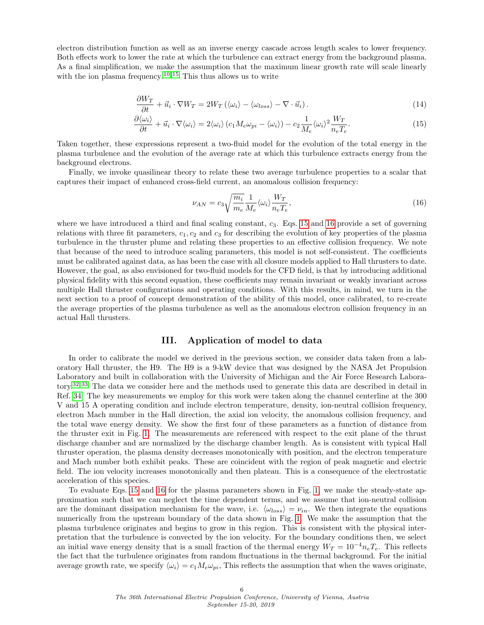electron distribution function as well as an inverse energy cascade across length scales to lower frequency. Both effects work to lower the rate at which the turbulence can extract energy from the background plasma. As a final simplification, we make the assumption that the maximum linear growth rate will scale linearly with the ion plasma frequency.<sup>[10,](#page-10-9) [15](#page-10-10)</sup> This thus allows us to write

$$
\frac{\partial W_T}{\partial t} + \vec{u}_i \cdot \nabla W_T = 2W_T \left( \langle \omega_i \rangle - \langle \omega_{loss} \rangle - \nabla \cdot \vec{u}_i \right). \tag{14}
$$

$$
\frac{\partial \langle \omega_i \rangle}{\partial t} + \vec{u}_i \cdot \nabla \langle \omega_i \rangle = 2 \langle \omega_i \rangle \left( c_1 M_e \omega_{pi} - \langle \omega_i \rangle \right) - c_2 \frac{1}{M_e} \langle \omega_i \rangle^2 \frac{W_T}{n_e T_e}.
$$
\n(15)

Taken together, these expressions represent a two-fluid model for the evolution of the total energy in the plasma turbulence and the evolution of the average rate at which this turbulence extracts energy from the background electrons.

Finally, we invoke quasilinear theory to relate these two average turbulence properties to a scalar that captures their impact of enhanced cross-field current, an anomalous collision frequency:

<span id="page-5-1"></span><span id="page-5-0"></span>
$$
\nu_{AN} = c_3 \sqrt{\frac{m_i}{m_e}} \frac{1}{M_e} \langle \omega_i \rangle \frac{W_T}{n_e T_e},\tag{16}
$$

where we have introduced a third and final scaling constant,  $c_3$ . Eqs. [15](#page-5-0) and [16](#page-5-1) provide a set of governing relations with three fit parameters,  $c_1, c_2$  and  $c_3$  for describing the evolution of key properties of the plasma turbulence in the thruster plume and relating these properties to an effective collision frequency. We note that because of the need to introduce scaling parameters, this model is not self-consistent. The coefficients must be calibrated against data, as has been the case with all closure models applied to Hall thrusters to date. However, the goal, as also envisioned for two-fluid models for the CFD field, is that by introducing additional physical fidelity with this second equation, these coefficients may remain invariant or weakly invariant across multiple Hall thruster configurations and operating conditions. With this results, in mind, we turn in the next section to a proof of concept demonstration of the ability of this model, once calibrated, to re-create the average properties of the plasma turbulence as well as the anomalous electron collision frequency in an actual Hall thrusters.

#### III. Application of model to data

In order to calibrate the model we derived in the previous section, we consider data taken from a laboratory Hall thruster, the H9. The H9 is a 9-kW device that was designed by the NASA Jet Propulsion Laboratory and built in collaboration with the University of Michigan and the Air Force Research Laboratory.[32,](#page-10-22) [33](#page-10-23) The data we consider here and the methods used to generate this data are described in detail in Ref. [34.](#page-11-0) The key measurements we employ for this work were taken along the channel centerline at the 300 V and 15 A operating condition and include electron temperature, density, ion-neutral collision frequency, electron Mach number in the Hall direction, the axial ion velocity, the anomalous collision frequency, and the total wave energy density. We show the first four of these parameters as a function of distance from the thruster exit in Fig. [1.](#page-6-0) The measurements are referenced with respect to the exit plane of the thrust discharge chamber and are normalized by the discharge chamber length. As is consistent with typical Hall thruster operation, the plasma density decreases monotonically with position, and the electron temperature and Mach number both exhibit peaks. These are coincident with the region of peak magnetic and electric field. The ion velocity increases monotonically and then plateau. This is a consequence of the electrostatic acceleration of this species.

To evaluate Eqs. [15](#page-5-0) and [16](#page-5-1) for the plasma parameters shown in Fig. [1,](#page-6-0) we make the steady-state approximation such that we can neglect the time dependent terms, and we assume that ion-neutral collision are the dominant dissipation mechanism for the wave, i.e.  $\langle \omega_{loss} \rangle = \nu_{in}$ . We then integrate the equations numerically from the upstream boundary of the data shown in Fig. [1.](#page-6-0) We make the assumption that the plasma turbulence originates and begins to grow in this region. This is consistent with the physical interpretation that the turbulence is convected by the ion velocity. For the boundary conditions then, we select an initial wave energy density that is a small fraction of the thermal energy  $W_T = 10^{-4} n_e T_e$ . This reflects the fact that the turbulence originates from random fluctuations in the thermal background. For the initial average growth rate, we specify  $\langle \omega_i \rangle = c_1 M_e \omega_{pi}$ , This reflects the assumption that when the waves originate,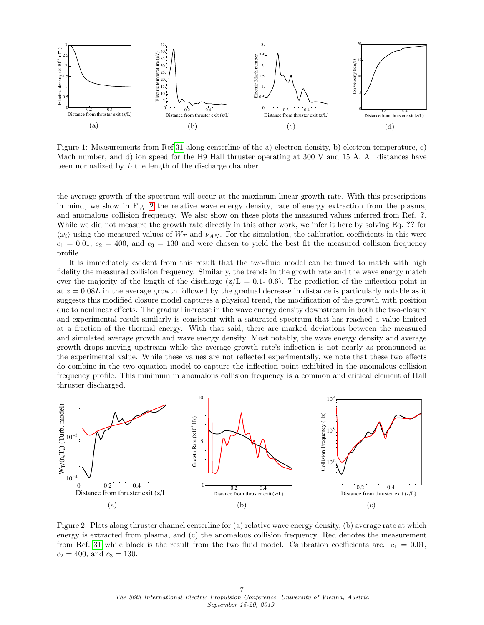<span id="page-6-0"></span>

Figure 1: Measurements from Ref[.31](#page-10-21) along centerline of the a) electron density, b) electron temperature, c) Mach number, and d) ion speed for the H9 Hall thruster operating at 300 V and 15 A. All distances have been normalized by L the length of the discharge chamber.

the average growth of the spectrum will occur at the maximum linear growth rate. With this prescriptions in mind, we show in Fig. [2](#page-6-1) the relative wave energy density, rate of energy extraction from the plasma, and anomalous collision frequency. We also show on these plots the measured values inferred from Ref. ?. While we did not measure the growth rate directly in this other work, we infer it here by solving Eq. ?? for  $\langle \omega_i \rangle$  using the measured values of  $W_T$  and  $\nu_{AN}$ . For the simulation, the calibration coefficients in this were  $c_1 = 0.01, c_2 = 400,$  and  $c_3 = 130$  and were chosen to yield the best fit the measured collision frequency profile.

It is immediately evident from this result that the two-fluid model can be tuned to match with high fidelity the measured collision frequency. Similarly, the trends in the growth rate and the wave energy match over the majority of the length of the discharge  $(z/L = 0.1 - 0.6)$ . The prediction of the inflection point in at  $z = 0.08L$  in the average growth followed by the gradual decrease in distance is particularly notable as it suggests this modified closure model captures a physical trend, the modification of the growth with position due to nonlinear effects. The gradual increase in the wave energy density downstream in both the two-closure and experimental result similarly is consistent with a saturated spectrum that has reached a value limited at a fraction of the thermal energy. With that said, there are marked deviations between the measured and simulated average growth and wave energy density. Most notably, the wave energy density and average growth drops moving upstream while the average growth rate's inflection is not nearly as pronounced as the experimental value. While these values are not reflected experimentally, we note that these two effects do combine in the two equation model to capture the inflection point exhibited in the anomalous collision frequency profile. This minimum in anomalous collision frequency is a common and critical element of Hall thruster discharged.

<span id="page-6-1"></span>

Figure 2: Plots along thruster channel centerline for (a) relative wave energy density, (b) average rate at which energy is extracted from plasma, and (c) the anomalous collision frequency. Red denotes the measurement from Ref. [31](#page-10-21) while black is the result from the two fluid model. Calibration coefficients are.  $c_1 = 0.01$ ,  $c_2 = 400$ , and  $c_3 = 130$ .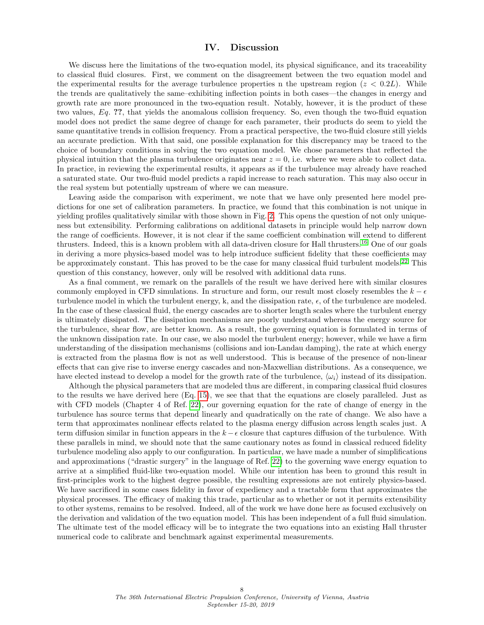#### IV. Discussion

We discuss here the limitations of the two-equation model, its physical significance, and its traceability to classical fluid closures. First, we comment on the disagreement between the two equation model and the experimental results for the average turbulence properties n the upstream region ( $z < 0.2L$ ). While the trends are qualitatively the same–exhibiting inflection points in both cases—the changes in energy and growth rate are more pronounced in the two-equation result. Notably, however, it is the product of these two values, Eq. ??, that yields the anomalous collision frequency. So, even though the two-fluid equation model does not predict the same degree of change for each parameter, their products do seem to yield the same quantitative trends in collision frequency. From a practical perspective, the two-fluid closure still yields an accurate prediction. With that said, one possible explanation for this discrepancy may be traced to the choice of boundary conditions in solving the two equation model. We chose parameters that reflected the physical intuition that the plasma turbulence originates near  $z = 0$ , i.e. where we were able to collect data. In practice, in reviewing the experimental results, it appears as if the turbulence may already have reached a saturated state. Our two-fluid model predicts a rapid increase to reach saturation. This may also occur in the real system but potentially upstream of where we can measure.

Leaving aside the comparison with experiment, we note that we have only presented here model predictions for one set of calibration parameters. In practice, we found that this combination is not unique in yielding profiles qualitatively similar with those shown in Fig. [2.](#page-6-1) This opens the question of not only uniqueness but extensibility. Performing calibrations on additional datasets in principle would help narrow down the range of coefficients. However, it is not clear if the same coefficient combination will extend to different thrusters. Indeed, this is a known problem with all data-driven closure for Hall thrusters.[16](#page-10-3) One of our goals in deriving a more physics-based model was to help introduce sufficient fidelity that these coefficients may be approximately constant. This has proved to be the case for many classical fluid turbulent models.<sup>[22](#page-10-12)</sup> This question of this constancy, however, only will be resolved with additional data runs.

As a final comment, we remark on the parallels of the result we have derived here with similar closures commonly employed in CFD simulations. In structure and form, our result most closely resembles the  $k - \epsilon$ turbulence model in which the turbulent energy, k, and the dissipation rate,  $\epsilon$ , of the turbulence are modeled. In the case of these classical fluid, the energy cascades are to shorter length scales where the turbulent energy is ultimately dissipated. The dissipation mechanisms are poorly understand whereas the energy source for the turbulence, shear flow, are better known. As a result, the governing equation is formulated in terms of the unknown dissipation rate. In our case, we also model the turbulent energy; however, while we have a firm understanding of the dissipation mechanisms (collisions and ion-Landau damping), the rate at which energy is extracted from the plasma flow is not as well understood. This is because of the presence of non-linear effects that can give rise to inverse energy cascades and non-Maxwellian distributions. As a consequence, we have elected instead to develop a model for the growth rate of the turbulence,  $\langle \omega_i \rangle$  instead of its dissipation.

Although the physical parameters that are modeled thus are different, in comparing classical fluid closures to the results we have derived here (Eq. [15\)](#page-5-0), we see that that the equations are closely paralleled. Just as with CFD models (Chapter 4 of Ref. [22\)](#page-10-12), our governing equation for the rate of change of energy in the turbulence has source terms that depend linearly and quadratically on the rate of change. We also have a term that approximates nonlinear effects related to the plasma energy diffusion across length scales just. A term diffusion similar in function appears in the  $k - \epsilon$  closure that captures diffusion of the turbulence. With these parallels in mind, we should note that the same cautionary notes as found in classical reduced fidelity turbulence modeling also apply to our configuration. In particular, we have made a number of simplifications and approximations ("drastic surgery" in the language of Ref. [22\)](#page-10-12) to the governing wave energy equation to arrive at a simplified fluid-like two-equation model. While our intention has been to ground this result in first-principles work to the highest degree possible, the resulting expressions are not entirely physics-based. We have sacrificed in some cases fidelity in favor of expediency and a tractable form that approximates the physical processes. The efficacy of making this trade, particular as to whether or not it permits extensibility to other systems, remains to be resolved. Indeed, all of the work we have done here as focused exclusively on the derivation and validation of the two equation model. This has been independent of a full fluid simulation. The ultimate test of the model efficacy will be to integrate the two equations into an existing Hall thruster numerical code to calibrate and benchmark against experimental measurements.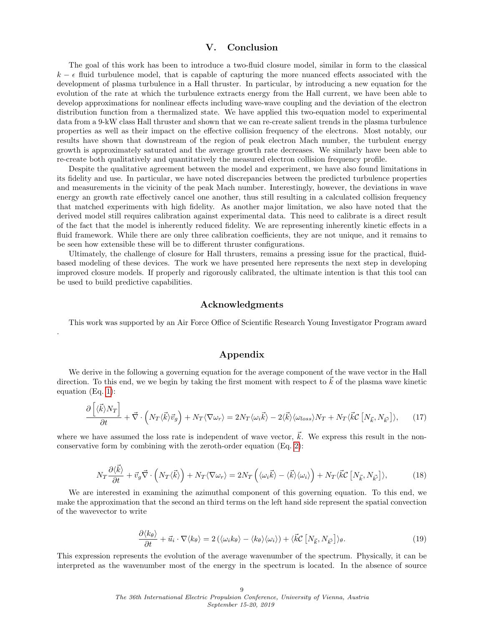# V. Conclusion

The goal of this work has been to introduce a two-fluid closure model, similar in form to the classical  $k - \epsilon$  fluid turbulence model, that is capable of capturing the more nuanced effects associated with the development of plasma turbulence in a Hall thruster. In particular, by introducing a new equation for the evolution of the rate at which the turbulence extracts energy from the Hall current, we have been able to develop approximations for nonlinear effects including wave-wave coupling and the deviation of the electron distribution function from a thermalized state. We have applied this two-equation model to experimental data from a 9-kW class Hall thruster and shown that we can re-create salient trends in the plasma turbulence properties as well as their impact on the effective collision frequency of the electrons. Most notably, our results have shown that downstream of the region of peak electron Mach number, the turbulent energy growth is approximately saturated and the average growth rate decreases. We similarly have been able to re-create both qualitatively and quantitatively the measured electron collision frequency profile.

Despite the qualitative agreement between the model and experiment, we have also found limitations in its fidelity and use. In particular, we have noted discrepancies between the predicted turbulence properties and measurements in the vicinity of the peak Mach number. Interestingly, however, the deviations in wave energy an growth rate effectively cancel one another, thus still resulting in a calculated collision frequency that matched experiments with high fidelity. As another major limitation, we also have noted that the derived model still requires calibration against experimental data. This need to calibrate is a direct result of the fact that the model is inherently reduced fidelity. We are representing inherently kinetic effects in a fluid framework. While there are only three calibration coefficients, they are not unique, and it remains to be seen how extensible these will be to different thruster configurations.

Ultimately, the challenge of closure for Hall thrusters, remains a pressing issue for the practical, fluidbased modeling of these devices. The work we have presented here represents the next step in developing improved closure models. If properly and rigorously calibrated, the ultimate intention is that this tool can be used to build predictive capabilities.

#### Acknowledgments

This work was supported by an Air Force Office of Scientific Research Young Investigator Program award

## <span id="page-8-0"></span>Appendix

.

We derive in the following a governing equation for the average component of the wave vector in the Hall direction. To this end, we we begin by taking the first moment with respect to  $\vec{k}$  of the plasma wave kinetic equation (Eq. [1\)](#page-2-0):

$$
\frac{\partial \left[ \langle \vec{k} \rangle N_T \right]}{\partial t} + \vec{\nabla} \cdot \left( N_T \langle \vec{k} \rangle \vec{v}_g \right) + N_T \langle \nabla \omega_r \rangle = 2N_T \langle \omega_i \vec{k} \rangle - 2 \langle \vec{k} \rangle \langle \omega_{loss} \rangle N_T + N_T \langle \vec{k} \mathcal{C} \left[ N_{\vec{k}}, N_{\vec{k'}} \right] \rangle, \tag{17}
$$

where we have assumed the loss rate is independent of wave vector,  $\vec{k}$ . We express this result in the nonconservative form by combining with the zeroth-order equation (Eq. [2\)](#page-3-0):

$$
N_T \frac{\partial \langle \vec{k} \rangle}{\partial t} + \vec{v}_g \vec{\nabla} \cdot \left( N_T \langle \vec{k} \rangle \right) + N_T \langle \nabla \omega_r \rangle = 2N_T \left( \langle \omega_i \vec{k} \rangle - \langle \vec{k} \rangle \langle \omega_i \rangle \right) + N_T \langle \vec{k} \mathcal{C} \left[ N_{\vec{k}}, N_{\vec{k'}} \right] \rangle, \tag{18}
$$

We are interested in examining the azimuthal component of this governing equation. To this end, we make the approximation that the second an third terms on the left hand side represent the spatial convection of the wavevector to write

$$
\frac{\partial \langle k_{\theta} \rangle}{\partial t} + \vec{u}_i \cdot \nabla \langle k_{\theta} \rangle = 2 \left( \langle \omega_i k_{\theta} \rangle - \langle k_{\theta} \rangle \langle \omega_i \rangle \right) + \langle \vec{k} \mathcal{C} \left[ N_{\vec{k}}, N_{\vec{k'}} \right] \rangle_{\theta}.
$$
 (19)

This expression represents the evolution of the average wavenumber of the spectrum. Physically, it can be interpreted as the wavenumber most of the energy in the spectrum is located. In the absence of source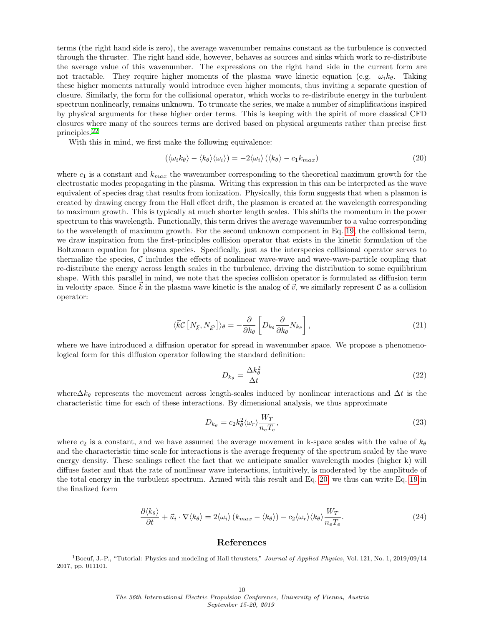terms (the right hand side is zero), the average wavenumber remains constant as the turbulence is convected through the thruster. The right hand side, however, behaves as sources and sinks which work to re-distribute the average value of this wavenumber. The expressions on the right hand side in the current form are not tractable. They require higher moments of the plasma wave kinetic equation (e.g.  $\omega_i k_\theta$ . Taking these higher moments naturally would introduce even higher moments, thus inviting a separate question of closure. Similarly, the form for the collisional operator, which works to re-distribute energy in the turbulent spectrum nonlinearly, remains unknown. To truncate the series, we make a number of simplifications inspired by physical arguments for these higher order terms. This is keeping with the spirit of more classical CFD closures where many of the sources terms are derived based on physical arguments rather than precise first principles.[22](#page-10-12)

With this in mind, we first make the following equivalence:

<span id="page-9-1"></span>
$$
(\langle \omega_i k_{\theta} \rangle - \langle k_{\theta} \rangle \langle \omega_i \rangle) = -2 \langle \omega_i \rangle (\langle k_{\theta} \rangle - c_1 k_{max}) \tag{20}
$$

where  $c_1$  is a constant and  $k_{max}$  the wavenumber corresponding to the theoretical maximum growth for the electrostatic modes propagating in the plasma. Writing this expression in this can be interpreted as the wave equivalent of species drag that results from ionization. Physically, this form suggests that when a plasmon is created by drawing energy from the Hall effect drift, the plasmon is created at the wavelength corresponding to maximum growth. This is typically at much shorter length scales. This shifts the momentum in the power spectrum to this wavelength. Functionally, this term drives the average wavenumber to a value corresponding to the wavelength of maximum growth. For the second unknown component in Eq. [19,](#page-8-0) the collisional term, we draw inspiration from the first-principles collision operator that exists in the kinetic formulation of the Boltzmann equation for plasma species. Specifically, just as the interspecies collisional operator serves to thermalize the species,  $C$  includes the effects of nonlinear wave-wave and wave-wave-particle coupling that re-distribute the energy across length scales in the turbulence, driving the distribution to some equilibrium shape. With this parallel in mind, we note that the species collision operator is formulated as diffusion term in velocity space. Since k in the plasma wave kinetic is the analog of  $\vec{v}$ , we similarly represent C as a collision operator:

$$
\langle \vec{k} \mathcal{C} \left[ N_{\vec{k}}, N_{\vec{k'}} \right] \rangle_{\theta} = -\frac{\partial}{\partial k_{\theta}} \left[ D_{k_{\theta}} \frac{\partial}{\partial k_{\theta}} N_{k_{\theta}} \right], \tag{21}
$$

where we have introduced a diffusion operator for spread in wavenumber space. We propose a phenomenological form for this diffusion operator following the standard definition:

$$
D_{k_{\theta}} = \frac{\Delta k_{\theta}^2}{\Delta t} \tag{22}
$$

where $\Delta k_{\theta}$  represents the movement across length-scales induced by nonlinear interactions and  $\Delta t$  is the characteristic time for each of these interactions. By dimensional analysis, we thus approximate

$$
D_{k_{\theta}} = c_2 k_{\theta}^2 \langle \omega_r \rangle \frac{W_T}{n_e T_e},\tag{23}
$$

where  $c_2$  is a constant, and we have assumed the average movement in k-space scales with the value of  $k_\theta$ and the characteristic time scale for interactions is the average frequency of the spectrum scaled by the wave energy density. These scalings reflect the fact that we anticipate smaller wavelength modes (higher k) will diffuse faster and that the rate of nonlinear wave interactions, intuitively, is moderated by the amplitude of the total energy in the turbulent spectrum. Armed with this result and Eq. [20,](#page-9-1) we thus can write Eq. [19](#page-8-0) in the finalized form

$$
\frac{\partial \langle k_{\theta} \rangle}{\partial t} + \vec{u}_i \cdot \nabla \langle k_{\theta} \rangle = 2 \langle \omega_i \rangle \left( k_{max} - \langle k_{\theta} \rangle \right) - c_2 \langle \omega_r \rangle \langle k_{\theta} \rangle \frac{W_T}{n_e T_e}.
$$
\n(24)

## References

<span id="page-9-0"></span><sup>1</sup> Boeuf, J.-P., "Tutorial: Physics and modeling of Hall thrusters," Journal of Applied Physics, Vol. 121, No. 1, 2019/09/14 2017, pp. 011101.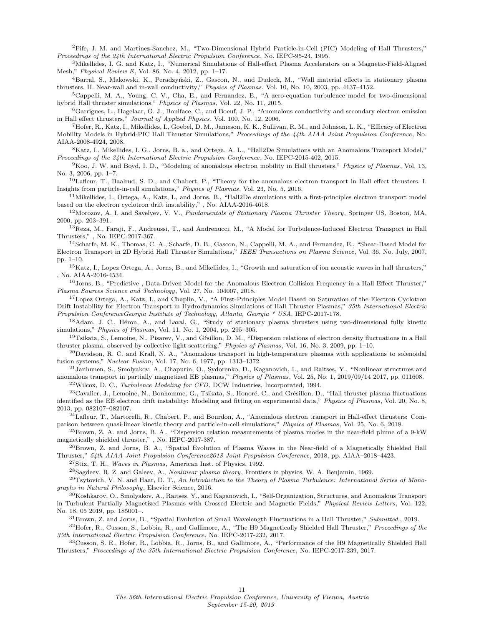<span id="page-10-0"></span><sup>2</sup>Fife, J. M. and Martinez-Sanchez, M., "Two-Dimensional Hybrid Particle-in-Cell (PIC) Modeling of Hall Thrusters," Proceedings of the 24th International Electric Propulsion Conference, No. IEPC-95-24, 1995.

<span id="page-10-1"></span><sup>3</sup>Mikellides, I. G. and Katz, I., "Numerical Simulations of Hall-effect Plasma Accelerators on a Magnetic-Field-Aligned Mesh," Physical Review E, Vol. 86, No. 4, 2012, pp. 1–17.

<sup>4</sup>Barral, S., Makowski, K., Peradzyński, Z., Gascon, N., and Dudeck, M., "Wall material effects in stationary plasma thrusters. II. Near-wall and in-wall conductivity," Physics of Plasmas, Vol. 10, No. 10, 2003, pp. 4137–4152.

 ${}^5$ Cappelli, M. A., Young, C. V., Cha, E., and Fernandez, E., "A zero-equation turbulence model for two-dimensional hybrid Hall thruster simulations," Physics of Plasmas, Vol. 22, No. 11, 2015.

<sup>6</sup>Garrigues, L., Hagelaar, G. J., Boniface, C., and Boeuf, J. P., "Anomalous conductivity and secondary electron emission in Hall effect thrusters," Journal of Applied Physics, Vol. 100, No. 12, 2006.

<sup>7</sup>Hofer, R., Katz, I., Mikellides, I., Goebel, D. M., Jameson, K. K., Sullivan, R. M., and Johnson, L. K., "Efficacy of Electron Mobility Models in Hybrid-PIC Hall Thruster Simulations," Proceedings of the 44th AIAA Joint Propulsion Conference, No. AIAA-2008-4924, 2008.

<span id="page-10-6"></span><sup>8</sup>Katz, I., Mikellides, I. G., Jorns, B. a., and Ortega, A. L., "Hall2De Simulations with an Anomalous Transport Model," Proceedings of the 34th International Electric Propulsion Conference, No. IEPC-2015-402, 2015.

<sup>9</sup>Koo, J. W. and Boyd, I. D., "Modeling of anomalous electron mobility in Hall thrusters," Physics of Plasmas, Vol. 13, No. 3, 2006, pp. 1–7.

<span id="page-10-9"></span> $10$ Lafleur, T., Baalrud, S. D., and Chabert, P., "Theory for the anomalous electron transport in Hall effect thrusters. I. Insights from particle-in-cell simulations," Physics of Plasmas, Vol. 23, No. 5, 2016.

<span id="page-10-7"></span> $11$ Mikellides, I., Ortega, A., Katz, I., and Jorns, B., "Hall2De simulations with a first-principles electron transport model based on the electron cyclotron drift instability," , No. AIAA-2016-4618.

 $12$ Morozov, A. I. and Savelyev, V. V., Fundamentals of Stationary Plasma Thruster Theory, Springer US, Boston, MA, 2000, pp. 203–391.

<sup>13</sup>Reza, M., Faraji, F., Andreussi, T., and Andrenucci, M., "A Model for Turbulence-Induced Electron Transport in Hall Thrusters," , No. IEPC-2017-367.

<sup>14</sup>Scharfe, M. K., Thomas, C. A., Scharfe, D. B., Gascon, N., Cappelli, M. A., and Fernandez, E., "Shear-Based Model for Electron Transport in 2D Hybrid Hall Thruster Simulations," IEEE Transactions on Plasma Science, Vol. 36, No. July, 2007, pp. 1–10.

<span id="page-10-10"></span><sup>15</sup>Katz, I., Lopez Ortega, A., Jorns, B., and Mikellides, I., "Growth and saturation of ion acoustic waves in hall thrusters," , No. AIAA-2016-4534.

<span id="page-10-3"></span><sup>16</sup>Jorns, B., "Predictive, Data-Driven Model for the Anomalous Electron Collision Frequency in a Hall Effect Thruster," Plasma Sources Science and Technology, Vol. 27, No. 104007, 2018.

<span id="page-10-2"></span><sup>17</sup>Lopez Ortega, A., Katz, I., and Chaplin, V., "A First-Principles Model Based on Saturation of the Electron Cyclotron Drift Instability for Electron Transport in Hydrodynamics Simulations of Hall Thruster Plasmas," 35th International Electric Propulsion ConferenceGeorgia Institute of Technology, Atlanta, Georgia \* USA, IEPC-2017-178.

<span id="page-10-4"></span><sup>18</sup>Adam, J. C., Héron, A., and Laval, G., "Study of stationary plasma thrusters using two-dimensional fully kinetic simulations," Physics of Plasmas, Vol. 11, No. 1, 2004, pp. 295–305.

<span id="page-10-5"></span><sup>19</sup>Tsikata, S., Lemoine, N., Pisarev, V., and Gísillon, D. M., "Dispersion relations of electron density fluctuations in a Hall thruster plasma, observed by collective light scattering," Physics of Plasmas, Vol. 16, No. 3, 2009, pp. 1–10.

<span id="page-10-8"></span> $^{20}$ Davidson, R. C. and Krall, N. A., "Anomalous transport in high-temperature plasmas with applications to solenoidal fusion systems," Nuclear Fusion, Vol. 17, No. 6, 1977, pp. 1313–1372.

<span id="page-10-12"></span><span id="page-10-11"></span><sup>21</sup>Janhunen, S., Smolyakov, A., Chapurin, O., Sydorenko, D., Kaganovich, I., and Raitses, Y., "Nonlinear structures and anomalous transport in partially magnetized EB plasmas," Physics of Plasmas, Vol. 25, No. 1, 2019/09/14 2017, pp. 011608.  $^{22}$ Wilcox, D. C., Turbulence Modeling for CFD, DCW Industries, Incorporated, 1994.

<span id="page-10-13"></span> $^{23}$ Cavalier, J., Lemoine, N., Bonhomme, G., Tsikata, S., Honoré, C., and Grésillon, D., "Hall thruster plasma fluctuations identified as the EB electron drift instability: Modeling and fitting on experimental data," Physics of Plasmas, Vol. 20, No. 8, 2013, pp. 082107–082107.

<span id="page-10-14"></span><sup>24</sup>Lafleur, T., Martorelli, R., Chabert, P., and Bourdon, A., "Anomalous electron transport in Hall-effect thrusters: Comparison between quasi-linear kinetic theory and particle-in-cell simulations," Physics of Plasmas, Vol. 25, No. 6, 2018.

<span id="page-10-15"></span><sup>25</sup>Brown, Z. A. and Jorns, B. A., "Dispersion relation measurements of plasma modes in the near-field plume of a 9-kW magnetically shielded thruster," , No. IEPC-2017-387.

<span id="page-10-16"></span><sup>26</sup>Brown, Z. and Jorns, B. A., "Spatial Evolution of Plasma Waves in the Near-field of a Magnetically Shielded Hall Thruster," 54th AIAA Joint Propulsion Conference2018 Joint Propulsion Conference, 2018, pp. AIAA–2018–4423.

<span id="page-10-18"></span><span id="page-10-17"></span><sup>27</sup>Stix, T. H., Waves in Plasmas, American Inst. of Physics, 1992.

 $^{28}$ Sagdeev, R. Z. and Galeev, A., *Nonlinear plasma theory*, Frontiers in physics, W. A. Benjamin, 1969.

<span id="page-10-19"></span> $^{29}$ Tsytovich, V. N. and Haar, D. T., An Introduction to the Theory of Plasma Turbulence: International Series of Monographs in Natural Philosophy, Elsevier Science, 2016.

<span id="page-10-20"></span> $30K$ oshkarov, O., Smolyakov, A., Raitses, Y., and Kaganovich, I., "Self-Organization, Structures, and Anomalous Transport in Turbulent Partially Magnetized Plasmas with Crossed Electric and Magnetic Fields," Physical Review Letters, Vol. 122, No. 18, 05 2019, pp. 185001–.

<span id="page-10-21"></span> $31Brown, Z.$  and Jorns, B., "Spatial Evolution of Small Wavelength Fluctuations in a Hall Thruster," Submitted., 2019.

<span id="page-10-22"></span> $32H$ ofer, R., Cusson, S., Lobbia, R., and Gallimore, A., "The H9 Magnetically Shielded Hall Thruster," Proceedings of the 35th International Electric Propulsion Conference, No. IEPC-2017-232, 2017.

<span id="page-10-23"></span><sup>33</sup>Cusson, S. E., Hofer, R., Lobbia, R., Jorns, B., and Gallimore, A., "Performance of the H9 Magnetically Shielded Hall Thrusters," Proceedings of the 35th International Electric Propulsion Conference, No. IEPC-2017-239, 2017.